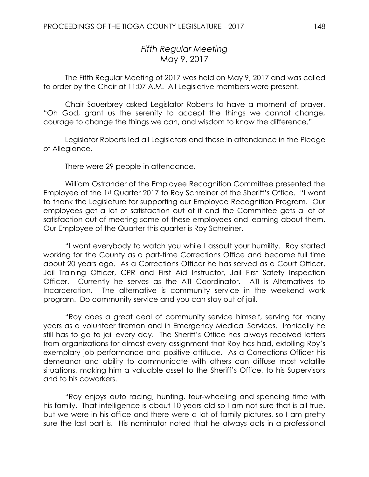# *Fifth Regular Meeting* May 9, 2017

The Fifth Regular Meeting of 2017 was held on May 9, 2017 and was called to order by the Chair at 11:07 A.M. All Legislative members were present.

Chair Sauerbrey asked Legislator Roberts to have a moment of prayer. "Oh God, grant us the serenity to accept the things we cannot change, courage to change the things we can, and wisdom to know the difference."

Legislator Roberts led all Legislators and those in attendance in the Pledge of Allegiance.

There were 29 people in attendance.

William Ostrander of the Employee Recognition Committee presented the Employee of the 1st Quarter 2017 to Roy Schreiner of the Sheriff's Office. "I want to thank the Legislature for supporting our Employee Recognition Program. Our employees get a lot of satisfaction out of it and the Committee gets a lot of satisfaction out of meeting some of these employees and learning about them. Our Employee of the Quarter this quarter is Roy Schreiner.

"I want everybody to watch you while I assault your humility. Roy started working for the County as a part-time Corrections Office and became full time about 20 years ago. As a Corrections Officer he has served as a Court Officer, Jail Training Officer, CPR and First Aid Instructor, Jail First Safety Inspection Officer. Currently he serves as the ATI Coordinator. ATI is Alternatives to Incarceration. The alternative is community service in the weekend work program. Do community service and you can stay out of jail.

"Roy does a great deal of community service himself, serving for many years as a volunteer fireman and in Emergency Medical Services. Ironically he still has to go to jail every day. The Sheriff's Office has always received letters from organizations for almost every assignment that Roy has had, extolling Roy's exemplary job performance and positive attitude. As a Corrections Officer his demeanor and ability to communicate with others can diffuse most volatile situations, making him a valuable asset to the Sheriff's Office, to his Supervisors and to his coworkers.

"Roy enjoys auto racing, hunting, four-wheeling and spending time with his family. That intelligence is about 10 years old so I am not sure that is all true, but we were in his office and there were a lot of family pictures, so I am pretty sure the last part is. His nominator noted that he always acts in a professional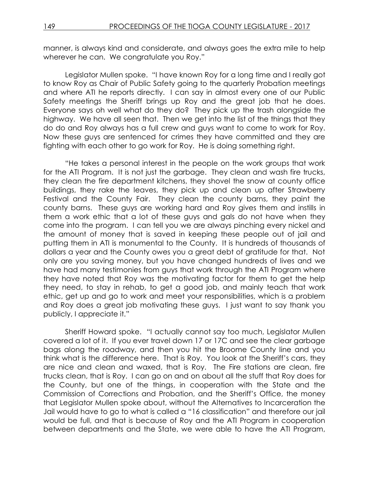manner, is always kind and considerate, and always goes the extra mile to help wherever he can. We congratulate you Roy."

Legislator Mullen spoke. "I have known Roy for a long time and I really got to know Roy as Chair of Public Safety going to the quarterly Probation meetings and where ATI he reports directly. I can say in almost every one of our Public Safety meetings the Sheriff brings up Roy and the great job that he does. Everyone says oh well what do they do? They pick up the trash alongside the highway. We have all seen that. Then we get into the list of the things that they do do and Roy always has a full crew and guys want to come to work for Roy. Now these guys are sentenced for crimes they have committed and they are fighting with each other to go work for Roy. He is doing something right.

"He takes a personal interest in the people on the work groups that work for the ATI Program. It is not just the garbage. They clean and wash fire trucks, they clean the fire department kitchens, they shovel the snow at county office buildings, they rake the leaves, they pick up and clean up after Strawberry Festival and the County Fair. They clean the county barns, they paint the county barns. These guys are working hard and Roy gives them and instills in them a work ethic that a lot of these guys and gals do not have when they come into the program. I can tell you we are always pinching every nickel and the amount of money that is saved in keeping these people out of jail and putting them in ATI is monumental to the County. It is hundreds of thousands of dollars a year and the County owes you a great debt of gratitude for that. Not only are you saving money, but you have changed hundreds of lives and we have had many testimonies from guys that work through the ATI Program where they have noted that Roy was the motivating factor for them to get the help they need, to stay in rehab, to get a good job, and mainly teach that work ethic, get up and go to work and meet your responsibilities, which is a problem and Roy does a great job motivating these guys. I just want to say thank you publicly, I appreciate it."

Sheriff Howard spoke. "I actually cannot say too much, Legislator Mullen covered a lot of it. If you ever travel down 17 or 17C and see the clear garbage bags along the roadway, and then you hit the Broome County line and you think what is the difference here. That is Roy. You look at the Sheriff's cars, they are nice and clean and waxed, that is Roy. The Fire stations are clean, fire trucks clean, that is Roy. I can go on and on about all the stuff that Roy does for the County, but one of the things, in cooperation with the State and the Commission of Corrections and Probation, and the Sheriff's Office, the money that Legislator Mullen spoke about, without the Alternatives to Incarceration the Jail would have to go to what is called a "16 classification" and therefore our jail would be full, and that is because of Roy and the ATI Program in cooperation between departments and the State, we were able to have the ATI Program,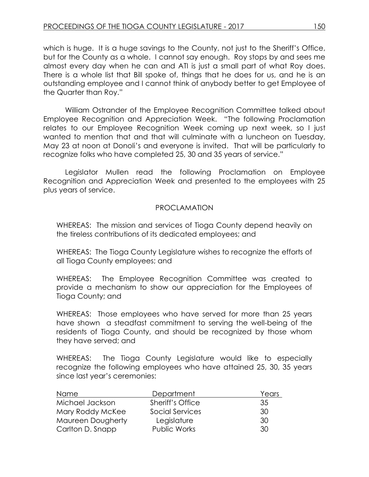which is huge. It is a huge savings to the County, not just to the Sheriff's Office, but for the County as a whole. I cannot say enough. Roy stops by and sees me almost every day when he can and ATI is just a small part of what Roy does. There is a whole list that Bill spoke of, things that he does for us, and he is an outstanding employee and I cannot think of anybody better to get Employee of the Quarter than Roy."

William Ostrander of the Employee Recognition Committee talked about Employee Recognition and Appreciation Week. "The following Proclamation relates to our Employee Recognition Week coming up next week, so I just wanted to mention that and that will culminate with a luncheon on Tuesday, May 23 at noon at Donoli's and everyone is invited. That will be particularly to recognize folks who have completed 25, 30 and 35 years of service."

Legislator Mullen read the following Proclamation on Employee Recognition and Appreciation Week and presented to the employees with 25 plus years of service.

# PROCLAMATION

WHEREAS: The mission and services of Tioga County depend heavily on the tireless contributions of its dedicated employees; and

WHEREAS: The Tioga County Legislature wishes to recognize the efforts of all Tioga County employees; and

WHEREAS: The Employee Recognition Committee was created to provide a mechanism to show our appreciation for the Employees of Tioga County; and

WHEREAS: Those employees who have served for more than 25 years have shown a steadfast commitment to serving the well-being of the residents of Tioga County, and should be recognized by those whom they have served; and

WHEREAS: The Tioga County Legislature would like to especially recognize the following employees who have attained 25, 30, 35 years since last year's ceremonies:

| Name                     | Department          | Years |
|--------------------------|---------------------|-------|
| Michael Jackson          | Sheriff's Office    | 35    |
| Mary Roddy McKee         | Social Services     | 30    |
| <b>Maureen Dougherty</b> | Legislature         | 30    |
| Carlton D. Snapp         | <b>Public Works</b> | 30.   |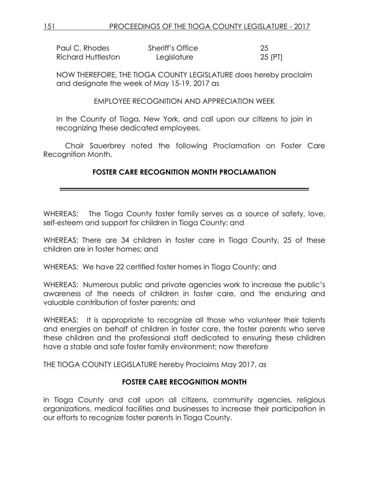| Paul C. Rhodes     | Sheriff's Office | -25     |
|--------------------|------------------|---------|
| Richard Huttleston | Legislature      | 25 (PT) |

NOW THEREFORE, THE TIOGA COUNTY LEGISLATURE does hereby proclaim and designate the week of May 15-19, 2017 as

EMPLOYEE RECOGNITION AND APPRECIATION WEEK

In the County of Tioga, New York, and call upon our citizens to join in recognizing these dedicated employees.

Chair Sauerbrey noted the following Proclamation on Foster Care Recognition Month.

# **FOSTER CARE RECOGNITION MONTH PROCLAMATION**

WHEREAS: The Tioga County foster family serves as a source of safety, love, self-esteem and support for children in Tioga County; and

WHEREAS: There are 34 children in foster care in Tioga County, 25 of these children are in foster homes; and

WHEREAS: We have 22 certified foster homes in Tioga County; and

WHEREAS: Numerous public and private agencies work to increase the public's awareness of the needs of children in foster care, and the enduring and valuable contribution of foster parents; and

WHEREAS: It is appropriate to recognize all those who volunteer their talents and energies on behalf of children in foster care, the foster parents who serve these children and the professional staff dedicated to ensuring these children have a stable and safe foster family environment; now therefore

THE TIOGA COUNTY LEGISLATURE hereby Proclaims May 2017, as

# **FOSTER CARE RECOGNITION MONTH**

in Tioga County and call upon all citizens, community agencies, religious organizations, medical facilities and businesses to increase their participation in our efforts to recognize foster parents in Tioga County.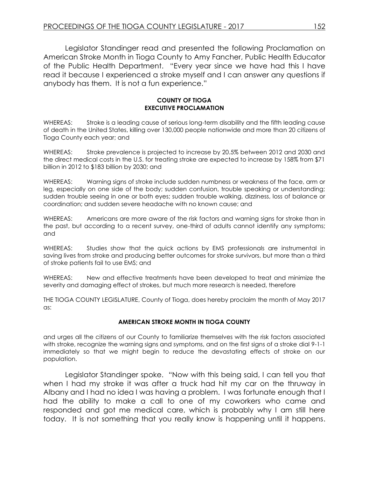Legislator Standinger read and presented the following Proclamation on American Stroke Month in Tioga County to Amy Fancher, Public Health Educator of the Public Health Department. "Every year since we have had this I have read it because I experienced a stroke myself and I can answer any questions if anybody has them. It is not a fun experience."

#### **COUNTY OF TIOGA EXECUTIVE PROCLAMATION**

WHEREAS: Stroke is a leading cause of serious long-term disability and the fifth leading cause of death in the United States, killing over 130,000 people nationwide and more than 20 citizens of Tioga County each year; and

WHEREAS: Stroke prevalence is projected to increase by 20.5% between 2012 and 2030 and the direct medical costs in the U.S. for treating stroke are expected to increase by 158% from \$71 billion in 2012 to \$183 billion by 2030; and

WHEREAS: Warning signs of stroke include sudden numbness or weakness of the face, arm or leg, especially on one side of the body; sudden confusion, trouble speaking or understanding; sudden trouble seeing in one or both eyes; sudden trouble walking, dizziness, loss of balance or coordination; and sudden severe headache with no known cause; and

WHEREAS: Americans are more aware of the risk factors and warning signs for stroke than in the past, but according to a recent survey, one-third of adults cannot identify any symptoms; and

WHEREAS: Studies show that the quick actions by EMS professionals are instrumental in saving lives from stroke and producing better outcomes for stroke survivors, but more than a third of stroke patients fail to use EMS; and

WHEREAS: New and effective treatments have been developed to treat and minimize the severity and damaging effect of strokes, but much more research is needed, therefore

THE TIOGA COUNTY LEGISLATURE, County of Tioga, does hereby proclaim the month of May 2017 as:

#### **AMERICAN STROKE MONTH IN TIOGA COUNTY**

and urges all the citizens of our County to familiarize themselves with the risk factors associated with stroke, recognize the warning signs and symptoms, and on the first signs of a stroke dial 9-1-1 immediately so that we might begin to reduce the devastating effects of stroke on our population.

Legislator Standinger spoke. "Now with this being said, I can tell you that when I had my stroke it was after a truck had hit my car on the thruway in Albany and I had no idea I was having a problem. I was fortunate enough that I had the ability to make a call to one of my coworkers who came and responded and got me medical care, which is probably why I am still here today. It is not something that you really know is happening until it happens.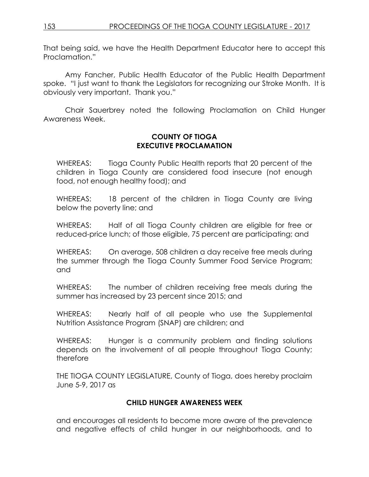That being said, we have the Health Department Educator here to accept this Proclamation."

Amy Fancher, Public Health Educator of the Public Health Department spoke. "I just want to thank the Legislators for recognizing our Stroke Month. It is obviously very important. Thank you."

Chair Sauerbrey noted the following Proclamation on Child Hunger Awareness Week.

### **COUNTY OF TIOGA EXECUTIVE PROCLAMATION**

WHEREAS: Tioga County Public Health reports that 20 percent of the children in Tioga County are considered food insecure (not enough food, not enough healthy food); and

WHEREAS: 18 percent of the children in Tioga County are living below the poverty line; and

WHEREAS: Half of all Tioga County children are eligible for free or reduced-price lunch; of those eligible, 75 percent are participating; and

WHEREAS: On average, 508 children a day receive free meals during the summer through the Tioga County Summer Food Service Program; and

WHEREAS: The number of children receiving free meals during the summer has increased by 23 percent since 2015; and

WHEREAS: Nearly half of all people who use the Supplemental Nutrition Assistance Program (SNAP) are children; and

WHEREAS: Hunger is a community problem and finding solutions depends on the involvement of all people throughout Tioga County; therefore

THE TIOGA COUNTY LEGISLATURE, County of Tioga, does hereby proclaim June 5-9, 2017 as

# **CHILD HUNGER AWARENESS WEEK**

and encourages all residents to become more aware of the prevalence and negative effects of child hunger in our neighborhoods, and to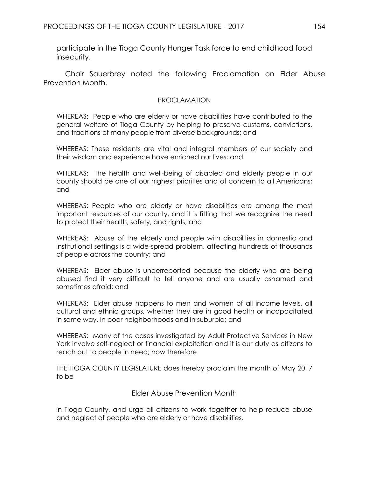participate in the Tioga County Hunger Task force to end childhood food insecurity.

Chair Sauerbrey noted the following Proclamation on Elder Abuse Prevention Month.

### PROCLAMATION

WHEREAS: People who are elderly or have disabilities have contributed to the general welfare of Tioga County by helping to preserve customs, convictions, and traditions of many people from diverse backgrounds; and

WHEREAS: These residents are vital and integral members of our society and their wisdom and experience have enriched our lives; and

WHEREAS: The health and well-being of disabled and elderly people in our county should be one of our highest priorities and of concern to all Americans; and

WHEREAS: People who are elderly or have disabilities are among the most important resources of our county, and it is fitting that we recognize the need to protect their health, safety, and rights; and

WHEREAS: Abuse of the elderly and people with disabilities in domestic and institutional settings is a wide-spread problem, affecting hundreds of thousands of people across the country; and

WHEREAS: Elder abuse is underreported because the elderly who are being abused find it very difficult to tell anyone and are usually ashamed and sometimes afraid; and

WHEREAS: Elder abuse happens to men and women of all income levels, all cultural and ethnic groups, whether they are in good health or incapacitated in some way, in poor neighborhoods and in suburbia; and

WHEREAS: Many of the cases investigated by Adult Protective Services in New York involve self-neglect or financial exploitation and it is our duty as citizens to reach out to people in need; now therefore

THE TIOGA COUNTY LEGISLATURE does hereby proclaim the month of May 2017 to be

Elder Abuse Prevention Month

in Tioga County, and urge all citizens to work together to help reduce abuse and neglect of people who are elderly or have disabilities.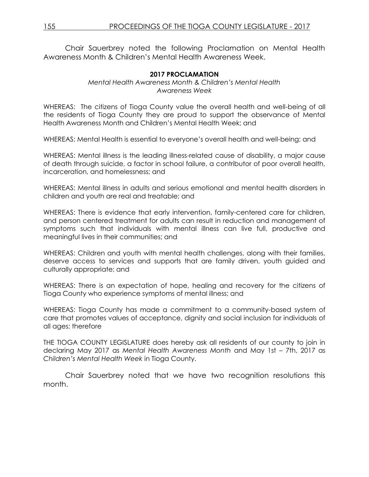Chair Sauerbrey noted the following Proclamation on Mental Health Awareness Month & Children's Mental Health Awareness Week.

### **2017 PROCLAMATION**

#### *Mental Health Awareness Month & Children's Mental Health Awareness Week*

WHEREAS: The citizens of Tioga County value the overall health and well-being of all the residents of Tioga County they are proud to support the observance of Mental Health Awareness Month and Children's Mental Health Week; and

WHEREAS: Mental Health is essential to everyone's overall health and well-being; and

WHEREAS: Mental illness is the leading illness-related cause of disability, a major cause of death through suicide, a factor in school failure, a contributor of poor overall health, incarceration, and homelessness; and

WHEREAS: Mental illness in adults and serious emotional and mental health disorders in children and youth are real and treatable; and

WHEREAS: There is evidence that early intervention, family-centered care for children, and person centered treatment for adults can result in reduction and management of symptoms such that individuals with mental illness can live full, productive and meaningful lives in their communities; and

WHEREAS: Children and youth with mental health challenges, along with their families, deserve access to services and supports that are family driven, youth guided and culturally appropriate; and

WHEREAS: There is an expectation of hope, healing and recovery for the citizens of Tioga County who experience symptoms of mental illness; and

WHEREAS: Tioga County has made a commitment to a community-based system of care that promotes values of acceptance, dignity and social inclusion for individuals of all ages; therefore

THE TIOGA COUNTY LEGISLATURE does hereby ask all residents of our county to join in declaring May 2017 as *Mental Health Awareness Month* and May 1st – 7th, 2017 as *Children's Mental Health Week* in Tioga County.

Chair Sauerbrey noted that we have two recognition resolutions this month.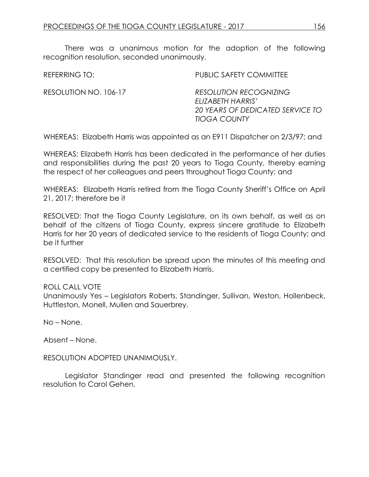There was a unanimous motion for the adoption of the following recognition resolution, seconded unanimously.

| REFERRING TO:         | <b>PUBLIC SAFETY COMMITTEE</b>                                                                                |
|-----------------------|---------------------------------------------------------------------------------------------------------------|
| RESOLUTION NO. 106-17 | <b>RESOLUTION RECOGNIZING</b><br>ELIZABETH HARRIS'<br>20 YEARS OF DEDICATED SERVICE TO<br><b>TIOGA COUNTY</b> |

WHEREAS: Elizabeth Harris was appointed as an E911 Dispatcher on 2/3/97; and

WHEREAS: Elizabeth Harris has been dedicated in the performance of her duties and responsibilities during the past 20 years to Tioga County, thereby earning the respect of her colleagues and peers throughout Tioga County; and

WHEREAS: Elizabeth Harris retired from the Tioga County Sheriff's Office on April 21, 2017; therefore be it

RESOLVED: That the Tioga County Legislature, on its own behalf, as well as on behalf of the citizens of Tioga County, express sincere gratitude to Elizabeth Harris for her 20 years of dedicated service to the residents of Tioga County; and be it further

RESOLVED: That this resolution be spread upon the minutes of this meeting and a certified copy be presented to Elizabeth Harris.

### ROLL CALL VOTE

Unanimously Yes – Legislators Roberts, Standinger, Sullivan, Weston, Hollenbeck, Huttleston, Monell, Mullen and Sauerbrey.

No – None.

Absent – None.

RESOLUTION ADOPTED UNANIMOUSLY.

Legislator Standinger read and presented the following recognition resolution to Carol Gehen.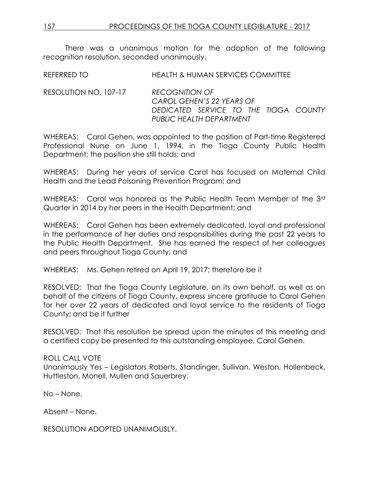There was a unanimous motion for the adoption of the following recognition resolution, seconded unanimously.

REFERRED TO HEALTH & HUMAN SERVICES COMMITTEE

RESOLUTION NO. 107-17 *RECOGNITION OF CAROL GEHEN'S 22 YEARS OF DEDICATED SERVICE TO THE TIOGA COUNTY PUBLIC HEALTH DEPARTMENT*

WHEREAS: Carol Gehen, was appointed to the position of Part-time Registered Professional Nurse on June 1, 1994, in the Tioga County Public Health Department; the position she still holds; and

WHEREAS: During her years of service Carol has focused on Maternal Child Health and the Lead Poisoning Prevention Program; and

WHEREAS: Carol was honored as the Public Health Team Member of the 3rd Quarter in 2014 by her peers in the Health Department; and

WHEREAS: Carol Gehen has been extremely dedicated, loyal and professional in the performance of her duties and responsibilities during the past 22 years to the Public Health Department. She has earned the respect of her colleagues and peers throughout Tioga County; and

WHEREAS: Ms. Gehen retired on April 19, 2017; therefore be it

RESOLVED: That the Tioga County Legislature, on its own behalf, as well as on behalf of the citizens of Tioga County, express sincere gratitude to Carol Gehen for her over 22 years of dedicated and loyal service to the residents of Tioga County; and be it further

RESOLVED: That this resolution be spread upon the minutes of this meeting and a certified copy be presented to this outstanding employee, Carol Gehen.

# ROLL CALL VOTE

Unanimously Yes – Legislators Roberts, Standinger, Sullivan, Weston, Hollenbeck, Huttleston, Monell, Mullen and Sauerbrey.

No – None.

Absent – None.

RESOLUTION ADOPTED UNANIMOUSLY.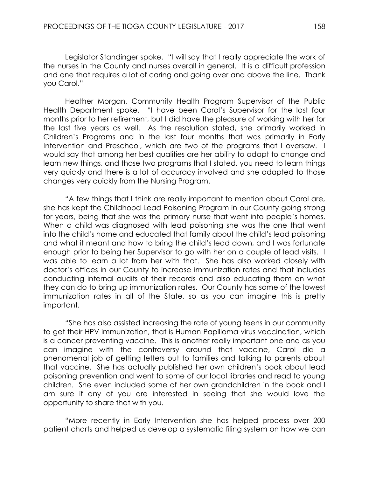Legislator Standinger spoke. "I will say that I really appreciate the work of the nurses in the County and nurses overall in general. It is a difficult profession and one that requires a lot of caring and going over and above the line. Thank you Carol."

Heather Morgan, Community Health Program Supervisor of the Public Health Department spoke. "I have been Carol's Supervisor for the last four months prior to her retirement, but I did have the pleasure of working with her for the last five years as well. As the resolution stated, she primarily worked in Children's Programs and in the last four months that was primarily in Early Intervention and Preschool, which are two of the programs that I oversaw. I would say that among her best qualities are her ability to adapt to change and learn new things, and those two programs that I stated, you need to learn things very quickly and there is a lot of accuracy involved and she adapted to those changes very quickly from the Nursing Program.

"A few things that I think are really important to mention about Carol are, she has kept the Childhood Lead Poisoning Program in our County going strong for years, being that she was the primary nurse that went into people's homes. When a child was diagnosed with lead poisoning she was the one that went into the child's home and educated that family about the child's lead poisoning and what it meant and how to bring the child's lead down, and I was fortunate enough prior to being her Supervisor to go with her on a couple of lead visits. I was able to learn a lot from her with that. She has also worked closely with doctor's offices in our County to increase immunization rates and that includes conducting internal audits of their records and also educating them on what they can do to bring up immunization rates. Our County has some of the lowest immunization rates in all of the State, so as you can imagine this is pretty important.

"She has also assisted increasing the rate of young teens in our community to get their HPV immunization, that is Human Papilloma virus vaccination, which is a cancer preventing vaccine. This is another really important one and as you can imagine with the controversy around that vaccine, Carol did a phenomenal job of getting letters out to families and talking to parents about that vaccine. She has actually published her own children's book about lead poisoning prevention and went to some of our local libraries and read to young children. She even included some of her own grandchildren in the book and I am sure if any of you are interested in seeing that she would love the opportunity to share that with you.

"More recently in Early Intervention she has helped process over 200 patient charts and helped us develop a systematic filing system on how we can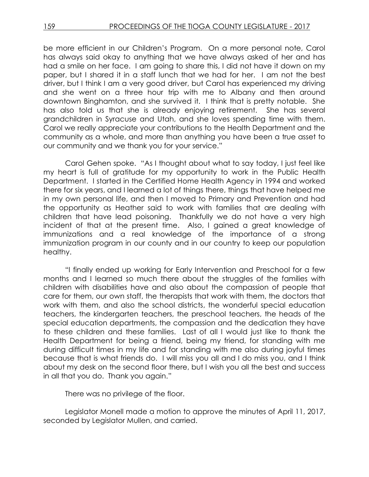be more efficient in our Children's Program. On a more personal note, Carol has always said okay to anything that we have always asked of her and has had a smile on her face. I am going to share this, I did not have it down on my paper, but I shared it in a staff lunch that we had for her. I am not the best driver, but I think I am a very good driver, but Carol has experienced my driving and she went on a three hour trip with me to Albany and then around downtown Binghamton, and she survived it. I think that is pretty notable. She has also told us that she is already enjoying retirement. She has several grandchildren in Syracuse and Utah, and she loves spending time with them. Carol we really appreciate your contributions to the Health Department and the community as a whole, and more than anything you have been a true asset to our community and we thank you for your service."

Carol Gehen spoke. "As I thought about what to say today, I just feel like my heart is full of gratitude for my opportunity to work in the Public Health Department. I started in the Certified Home Health Agency in 1994 and worked there for six years, and I learned a lot of things there, things that have helped me in my own personal life, and then I moved to Primary and Prevention and had the opportunity as Heather said to work with families that are dealing with children that have lead poisoning. Thankfully we do not have a very high incident of that at the present time. Also, I gained a great knowledge of immunizations and a real knowledge of the importance of a strong immunization program in our county and in our country to keep our population healthy.

"I finally ended up working for Early Intervention and Preschool for a few months and I learned so much there about the struggles of the families with children with disabilities have and also about the compassion of people that care for them, our own staff, the therapists that work with them, the doctors that work with them, and also the school districts, the wonderful special education teachers, the kindergarten teachers, the preschool teachers, the heads of the special education departments, the compassion and the dedication they have to these children and these families. Last of all I would just like to thank the Health Department for being a friend, being my friend, for standing with me during difficult times in my life and for standing with me also during joyful times because that is what friends do. I will miss you all and I do miss you, and I think about my desk on the second floor there, but I wish you all the best and success in all that you do. Thank you again."

There was no privilege of the floor.

Legislator Monell made a motion to approve the minutes of April 11, 2017, seconded by Legislator Mullen, and carried.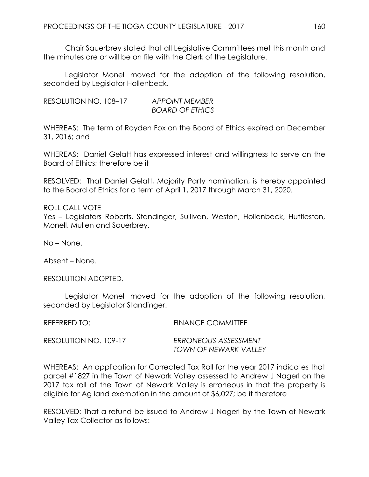Chair Sauerbrey stated that all Legislative Committees met this month and the minutes are or will be on file with the Clerk of the Legislature.

Legislator Monell moved for the adoption of the following resolution, seconded by Legislator Hollenbeck.

RESOLUTION NO. 108–17 *APPOINT MEMBER BOARD OF ETHICS*

WHEREAS: The term of Royden Fox on the Board of Ethics expired on December 31, 2016; and

WHEREAS: Daniel Gelatt has expressed interest and willingness to serve on the Board of Ethics; therefore be it

RESOLVED: That Daniel Gelatt, Majority Party nomination, is hereby appointed to the Board of Ethics for a term of April 1, 2017 through March 31, 2020.

ROLL CALL VOTE Yes – Legislators Roberts, Standinger, Sullivan, Weston, Hollenbeck, Huttleston, Monell, Mullen and Sauerbrey.

No – None.

Absent – None.

RESOLUTION ADOPTED.

Legislator Monell moved for the adoption of the following resolution, seconded by Legislator Standinger.

| REFERRED TO:          | <b>FINANCE COMMITTEE</b> |
|-----------------------|--------------------------|
| RESOLUTION NO. 109-17 | ERRONEOUS ASSESSMENT     |
|                       | TOWN OF NEWARK VALLEY    |

WHEREAS: An application for Corrected Tax Roll for the year 2017 indicates that parcel #1827 in the Town of Newark Valley assessed to Andrew J Nagerl on the 2017 tax roll of the Town of Newark Valley is erroneous in that the property is eligible for Ag land exemption in the amount of \$6,027; be it therefore

RESOLVED: That a refund be issued to Andrew J Nagerl by the Town of Newark Valley Tax Collector as follows: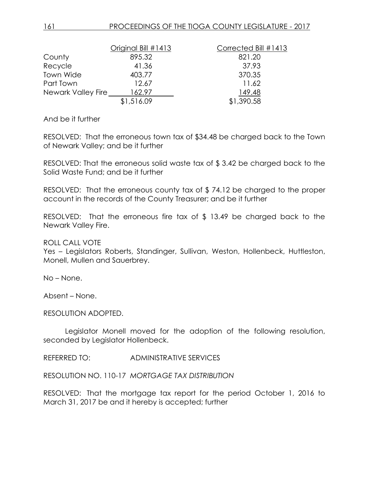|                    | Original Bill #1413 | Corrected Bill #1413 |
|--------------------|---------------------|----------------------|
| County             | 895.32              | 821.20               |
| Recycle            | 41.36               | 37.93                |
| Town Wide          | 403.77              | 370.35               |
| Part Town          | 12.67               | 11.62                |
| Newark Valley Fire | 162.97              | 149.48               |
|                    | \$1,516.09          | \$1,390.58           |

And be it further

RESOLVED: That the erroneous town tax of \$34.48 be charged back to the Town of Newark Valley; and be it further

RESOLVED: That the erroneous solid waste tax of \$ 3.42 be charged back to the Solid Waste Fund; and be it further

RESOLVED: That the erroneous county tax of \$ 74.12 be charged to the proper account in the records of the County Treasurer; and be it further

RESOLVED: That the erroneous fire tax of \$ 13.49 be charged back to the Newark Valley Fire.

ROLL CALL VOTE

Yes – Legislators Roberts, Standinger, Sullivan, Weston, Hollenbeck, Huttleston, Monell, Mullen and Sauerbrey.

No – None.

Absent – None.

RESOLUTION ADOPTED.

Legislator Monell moved for the adoption of the following resolution, seconded by Legislator Hollenbeck.

REFERRED TO: ADMINISTRATIVE SERVICES

RESOLUTION NO. 110-17 *MORTGAGE TAX DISTRIBUTION*

RESOLVED: That the mortgage tax report for the period October 1, 2016 to March 31, 2017 be and it hereby is accepted; further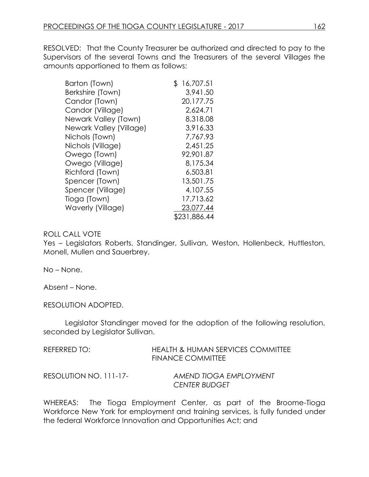RESOLVED: That the County Treasurer be authorized and directed to pay to the Supervisors of the several Towns and the Treasurers of the several Villages the amounts apportioned to them as follows:

| Barton (Town)            | S | 16,707.51    |
|--------------------------|---|--------------|
| Berkshire (Town)         |   | 3.941.50     |
| Candor (Town)            |   | 20,177.75    |
| Candor (Village)         |   | 2,624.71     |
| Newark Valley (Town)     |   | 8,318.08     |
| Newark Valley (Village)  |   | 3,916.33     |
| Nichols (Town)           |   | 7,767.93     |
| Nichols (Village)        |   | 2,451.25     |
| Owego (Town)             |   | 92,901.87    |
| Owego (Village)          |   | 8,175.34     |
| Richford (Town)          |   | 6,503.81     |
| Spencer (Town)           |   | 13,501.75    |
| Spencer (Village)        |   | 4,107.55     |
| Tioga (Town)             |   | 17,713.62    |
| <b>Waverly (Village)</b> |   | 23,077.44    |
|                          |   | \$231,886.44 |

### ROLL CALL VOTE

Yes – Legislators Roberts, Standinger, Sullivan, Weston, Hollenbeck, Huttleston, Monell, Mullen and Sauerbrey.

No – None.

Absent – None.

RESOLUTION ADOPTED.

Legislator Standinger moved for the adoption of the following resolution, seconded by Legislator Sullivan.

| REFERRED TO:           | <b>HEALTH &amp; HUMAN SERVICES COMMITTEE</b><br><b>FINANCE COMMITTEE</b> |
|------------------------|--------------------------------------------------------------------------|
| RESOLUTION NO. 111-17- | AMEND TIOGA EMPLOYMENT<br><b>CENTER BUDGET</b>                           |

WHEREAS: The Tioga Employment Center, as part of the Broome-Tioga Workforce New York for employment and training services, is fully funded under the federal Workforce Innovation and Opportunities Act; and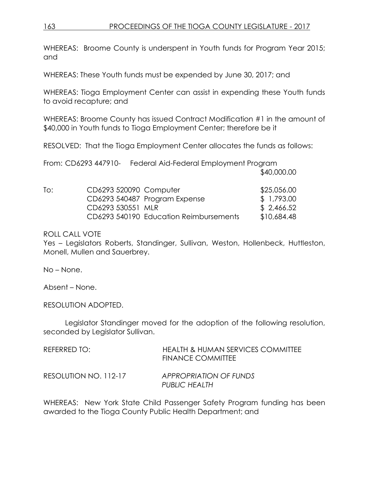WHEREAS: Broome County is underspent in Youth funds for Program Year 2015; and

WHEREAS: These Youth funds must be expended by June 30, 2017; and

WHEREAS: Tioga Employment Center can assist in expending these Youth funds to avoid recapture; and

WHEREAS: Broome County has issued Contract Modification #1 in the amount of \$40,000 in Youth funds to Tioga Employment Center; therefore be it

RESOLVED: That the Tioga Employment Center allocates the funds as follows:

|     |                        | From: CD6293 447910- Federal Aid-Federal Employment Program |             |  |
|-----|------------------------|-------------------------------------------------------------|-------------|--|
|     |                        |                                                             | \$40,000.00 |  |
| To: | CD6293 520090 Computer |                                                             | \$25,056.00 |  |
|     |                        | CD6293 540487 Program Expense                               | \$1,793.00  |  |
|     | CD6293 530551 MLR      |                                                             | \$2,466.52  |  |
|     |                        | CD6293 540190 Education Reimbursements                      | \$10,684.48 |  |

ROLL CALL VOTE

Yes – Legislators Roberts, Standinger, Sullivan, Weston, Hollenbeck, Huttleston, Monell, Mullen and Sauerbrey.

No – None.

Absent – None.

RESOLUTION ADOPTED.

Legislator Standinger moved for the adoption of the following resolution, seconded by Legislator Sullivan.

| REFERRED TO:          | HEALTH & HUMAN SERVICES COMMITTEE<br><b>FINANCE COMMITTEE</b> |
|-----------------------|---------------------------------------------------------------|
| RESOLUTION NO. 112-17 | APPROPRIATION OF FUNDS<br>PUBLIC HEALTH                       |

WHEREAS: New York State Child Passenger Safety Program funding has been awarded to the Tioga County Public Health Department; and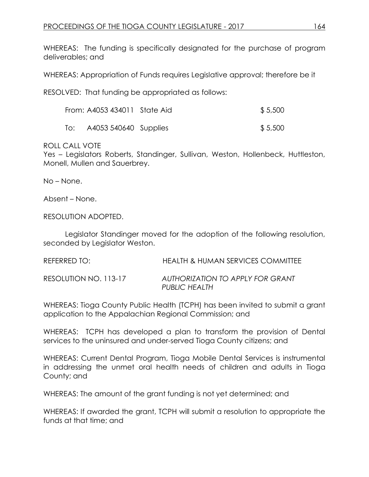WHEREAS: The funding is specifically designated for the purchase of program deliverables; and

WHEREAS: Appropriation of Funds requires Legislative approval; therefore be it

RESOLVED: That funding be appropriated as follows:

|     | From: A4053 434011 State Aid | \$5,500 |
|-----|------------------------------|---------|
| To: | A4053 540640 Supplies        | \$5,500 |

# ROLL CALL VOTE

Yes – Legislators Roberts, Standinger, Sullivan, Weston, Hollenbeck, Huttleston, Monell, Mullen and Sauerbrey.

No – None.

Absent – None.

RESOLUTION ADOPTED.

Legislator Standinger moved for the adoption of the following resolution, seconded by Legislator Weston.

| REFERRED TO:          | HEALTH & HUMAN SERVICES COMMITTEE                        |
|-----------------------|----------------------------------------------------------|
| RESOLUTION NO. 113-17 | AUTHORIZATION TO APPLY FOR GRANT<br><b>PUBLIC HEALTH</b> |

WHEREAS: Tioga County Public Health (TCPH) has been invited to submit a grant application to the Appalachian Regional Commission; and

WHEREAS: TCPH has developed a plan to transform the provision of Dental services to the uninsured and under-served Tioga County citizens; and

WHEREAS: Current Dental Program, Tioga Mobile Dental Services is instrumental in addressing the unmet oral health needs of children and adults in Tioga County; and

WHEREAS: The amount of the grant funding is not yet determined; and

WHEREAS: If awarded the grant, TCPH will submit a resolution to appropriate the funds at that time; and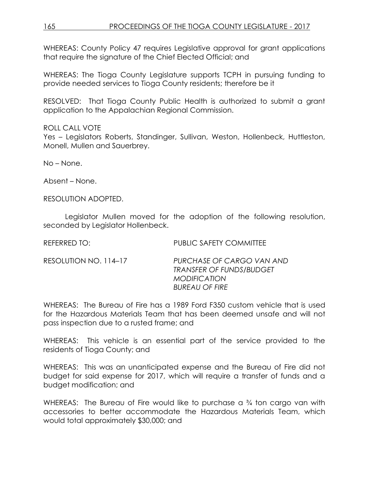WHEREAS: County Policy 47 requires Legislative approval for grant applications that require the signature of the Chief Elected Official; and

WHEREAS: The Tioga County Legislature supports TCPH in pursuing funding to provide needed services to Tioga County residents; therefore be it

RESOLVED: That Tioga County Public Health is authorized to submit a grant application to the Appalachian Regional Commission.

# ROLL CALL VOTE

Yes – Legislators Roberts, Standinger, Sullivan, Weston, Hollenbeck, Huttleston, Monell, Mullen and Sauerbrey.

No – None.

Absent – None.

RESOLUTION ADOPTED.

Legislator Mullen moved for the adoption of the following resolution, seconded by Legislator Hollenbeck.

REFERRED TO: PUBLIC SAFETY COMMITTEE

RESOLUTION NO. 114–17 *PURCHASE OF CARGO VAN AND TRANSFER OF FUNDS/BUDGET MODIFICATION BUREAU OF FIRE*

WHEREAS: The Bureau of Fire has a 1989 Ford F350 custom vehicle that is used for the Hazardous Materials Team that has been deemed unsafe and will not pass inspection due to a rusted frame; and

WHEREAS: This vehicle is an essential part of the service provided to the residents of Tioga County; and

WHEREAS: This was an unanticipated expense and the Bureau of Fire did not budget for said expense for 2017, which will require a transfer of funds and a budget modification; and

WHEREAS: The Bureau of Fire would like to purchase a <sup>3</sup>/4 ton cargo van with accessories to better accommodate the Hazardous Materials Team, which would total approximately \$30,000; and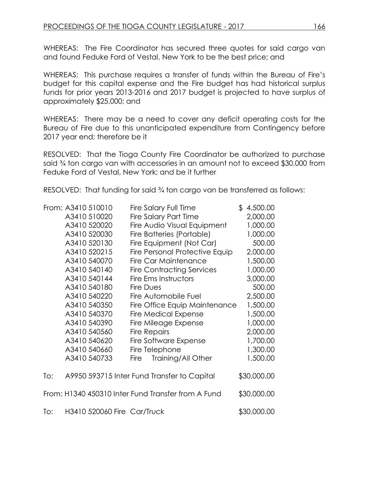WHEREAS: The Fire Coordinator has secured three quotes for said cargo van and found Feduke Ford of Vestal, New York to be the best price; and

WHEREAS: This purchase requires a transfer of funds within the Bureau of Fire's budget for this capital expense and the Fire budget has had historical surplus funds for prior years 2013-2016 and 2017 budget is projected to have surplus of approximately \$25,000; and

WHEREAS: There may be a need to cover any deficit operating costs for the Bureau of Fire due to this unanticipated expenditure from Contingency before 2017 year end; therefore be it

RESOLVED: That the Tioga County Fire Coordinator be authorized to purchase said ¾ ton cargo van with accessories in an amount not to exceed \$30,000 from Feduke Ford of Vestal, New York; and be it further

RESOLVED: That funding for said ¾ ton cargo van be transferred as follows:

|     | From: A3410 510010          |      | Fire Salary Full Time                              | \$4,500.00  |
|-----|-----------------------------|------|----------------------------------------------------|-------------|
|     | A3410 510020                |      | <b>Fire Salary Part Time</b>                       | 2,000.00    |
|     | A3410 520020                |      | Fire Audio Visual Equipment                        | 1,000.00    |
|     | A3410 520030                |      | Fire Batteries (Portable)                          | 1,000.00    |
|     | A3410 520130                |      | Fire Equipment (Not Car)                           | 500.00      |
|     | A3410 520215                |      | Fire Personal Protective Equip                     | 2,000.00    |
|     | A3410 540070                |      | Fire Car Maintenance                               | 1,500.00    |
|     | A3410 540140                |      | <b>Fire Contracting Services</b>                   | 1,000.00    |
|     | A3410 540144                |      | Fire Ems Instructors                               | 3,000.00    |
|     | A3410 540180                |      | Fire Dues                                          | 500.00      |
|     | A3410 540220                |      | Fire Automobile Fuel                               | 2,500.00    |
|     | A3410 540350                |      | Fire Office Equip Maintenance                      | 1,500.00    |
|     | A3410 540370                |      | <b>Fire Medical Expense</b>                        | 1,500.00    |
|     | A3410 540390                |      | Fire Mileage Expense                               | 1,000.00    |
|     | A3410 540560                |      | <b>Fire Repairs</b>                                | 2,000.00    |
|     | A3410 540620                |      | Fire Software Expense                              | 1,700.00    |
|     | A3410 540660                |      | Fire Telephone                                     | 1,300.00    |
|     | A3410 540733                | Fire | Training/All Other                                 | 1,500.00    |
| To: |                             |      | A9950 593715 Inter Fund Transfer to Capital        | \$30,000.00 |
|     |                             |      | From: H1340 450310 Inter Fund Transfer from A Fund | \$30,000.00 |
| To: | H3410 520060 Fire Car/Truck |      |                                                    | \$30,000.00 |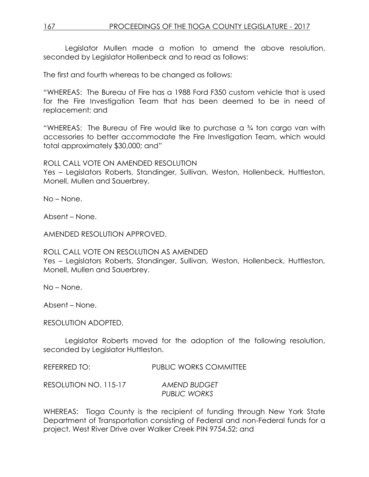Legislator Mullen made a motion to amend the above resolution, seconded by Legislator Hollenbeck and to read as follows:

The first and fourth whereas to be changed as follows:

"WHEREAS: The Bureau of Fire has a 1988 Ford F350 custom vehicle that is used for the Fire Investigation Team that has been deemed to be in need of replacement; and

"WHEREAS: The Bureau of Fire would like to purchase a ¾ ton cargo van with accessories to better accommodate the Fire Investigation Team, which would total approximately \$30,000; and"

ROLL CALL VOTE ON AMENDED RESOLUTION

Yes – Legislators Roberts, Standinger, Sullivan, Weston, Hollenbeck, Huttleston, Monell, Mullen and Sauerbrey.

No – None.

Absent – None.

AMENDED RESOLUTION APPROVED.

ROLL CALL VOTE ON RESOLUTION AS AMENDED

Yes – Legislators Roberts, Standinger, Sullivan, Weston, Hollenbeck, Huttleston, Monell, Mullen and Sauerbrey.

No – None.

Absent – None.

RESOLUTION ADOPTED.

Legislator Roberts moved for the adoption of the following resolution, seconded by Legislator Huttleston.

REFERRED TO: PUBLIC WORKS COMMITTEE

RESOLUTION NO. 115-17 *AMEND BUDGET PUBLIC WORKS*

WHEREAS: Tioga County is the recipient of funding through New York State Department of Transportation consisting of Federal and non-Federal funds for a project, West River Drive over Walker Creek PIN 9754.52; and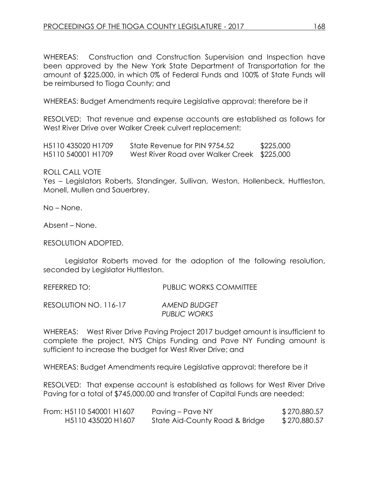WHEREAS: Construction and Construction Supervision and Inspection have been approved by the New York State Department of Transportation for the amount of \$225,000, in which 0% of Federal Funds and 100% of State Funds will be reimbursed to Tioga County; and

WHEREAS: Budget Amendments require Legislative approval; therefore be it

RESOLVED: That revenue and expense accounts are established as follows for West River Drive over Walker Creek culvert replacement:

| H <sub>5</sub> 110 435020 H <sub>1709</sub> | State Revenue for PIN 9754.52               | \$225,000 |
|---------------------------------------------|---------------------------------------------|-----------|
| H <sub>5</sub> 110 540001 H <sub>1709</sub> | West River Road over Walker Creek \$225,000 |           |

ROLL CALL VOTE

Yes – Legislators Roberts, Standinger, Sullivan, Weston, Hollenbeck, Huttleston, Monell, Mullen and Sauerbrey.

No – None.

Absent – None.

RESOLUTION ADOPTED.

Legislator Roberts moved for the adoption of the following resolution, seconded by Legislator Huttleston.

REFERRED TO: PUBLIC WORKS COMMITTEE

RESOLUTION NO. 116-17 *AMEND BUDGET PUBLIC WORKS*

WHEREAS: West River Drive Paving Project 2017 budget amount is insufficient to complete the project, NYS Chips Funding and Pave NY Funding amount is sufficient to increase the budget for West River Drive; and

WHEREAS: Budget Amendments require Legislative approval; therefore be it

RESOLVED: That expense account is established as follows for West River Drive Paving for a total of \$745,000.00 and transfer of Capital Funds are needed:

| From: H5110 540001 H1607 | Paving – Pave NY               | \$270,880.57 |
|--------------------------|--------------------------------|--------------|
| H5110 435020 H1607       | State Aid-County Road & Bridge | \$270,880.57 |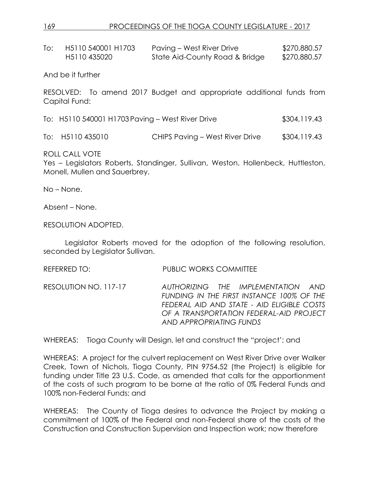### 169 PROCEEDINGS OF THE TIOGA COUNTY LEGISLATURE - 2017

| H5110 540001 H1703 | Paving – West River Drive      | \$270,880.57 |
|--------------------|--------------------------------|--------------|
| H5110 435020       | State Aid-County Road & Bridge | \$270,880.57 |

And be it further

RESOLVED: To amend 2017 Budget and appropriate additional funds from Capital Fund:

To: H5110 540001 H1703 Paving – West River Drive \$304,119.43

To: H5110 435010 CHIPS Paving – West River Drive \$304,119.43

ROLL CALL VOTE

Yes – Legislators Roberts, Standinger, Sullivan, Weston, Hollenbeck, Huttleston, Monell, Mullen and Sauerbrey.

No – None.

Absent – None.

RESOLUTION ADOPTED.

Legislator Roberts moved for the adoption of the following resolution, seconded by Legislator Sullivan.

REFERRED TO: PUBLIC WORKS COMMITTEE

RESOLUTION NO. 117-17 *AUTHORIZING THE IMPLEMENTATION AND FUNDING IN THE FIRST INSTANCE 100% OF THE FEDERAL AID AND STATE - AID ELIGIBLE COSTS OF A TRANSPORTATION FEDERAL-AID PROJECT AND APPROPRIATING FUNDS*

WHEREAS: Tioga County will Design, let and construct the "project'; and

WHEREAS: A project for the culvert replacement on West River Drive over Walker Creek, Town of Nichols, Tioga County, PIN 9754.52 (the Project) is eligible for funding under Title 23 U.S. Code, as amended that calls for the apportionment of the costs of such program to be borne at the ratio of 0% Federal Funds and 100% non-Federal Funds; and

WHEREAS: The County of Tioga desires to advance the Project by making a commitment of 100% of the Federal and non-Federal share of the costs of the Construction and Construction Supervision and Inspection work; now therefore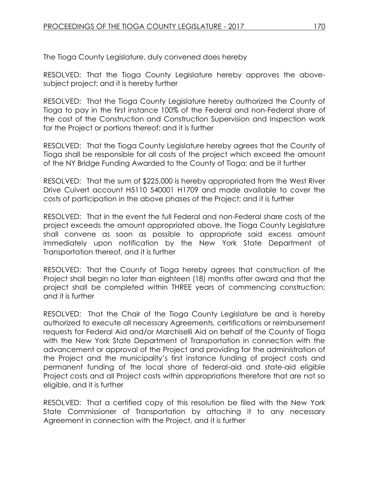The Tioga County Legislature, duly convened does hereby

RESOLVED: That the Tioga County Legislature hereby approves the abovesubject project; and it is hereby further

RESOLVED: That the Tioga County Legislature hereby authorized the County of Tioga to pay in the first instance 100% of the Federal and non-Federal share of the cost of the Construction and Construction Supervision and Inspection work for the Project or portions thereof; and it is further

RESOLVED: That the Tioga County Legislature hereby agrees that the County of Tioga shall be responsible for all costs of the project which exceed the amount of the NY Bridge Funding Awarded to the County of Tioga; and be it further

RESOLVED: That the sum of \$225,000 is hereby appropriated from the West River Drive Culvert account H5110 540001 H1709 and made available to cover the costs of participation in the above phases of the Project; and it is further

RESOLVED: That in the event the full Federal and non-Federal share costs of the project exceeds the amount appropriated above, the Tioga County Legislature shall convene as soon as possible to appropriate said excess amount immediately upon notification by the New York State Department of Transportation thereof, and it is further

RESOLVED: That the County of Tioga hereby agrees that construction of the Project shall begin no later than eighteen (18) months after award and that the project shall be completed within THREE years of commencing construction; and it is further

RESOLVED: That the Chair of the Tioga County Legislature be and is hereby authorized to execute all necessary Agreements, certifications or reimbursement requests for Federal Aid and/or Marchiselli Aid on behalf of the County of Tioga with the New York State Department of Transportation in connection with the advancement or approval of the Project and providing for the administration of the Project and the municipality's first instance funding of project costs and permanent funding of the local share of federal-aid and state-aid eligible Project costs and all Project costs within appropriations therefore that are not so eligible, and it is further

RESOLVED: That a certified copy of this resolution be filed with the New York State Commissioner of Transportation by attaching it to any necessary Agreement in connection with the Project, and it is further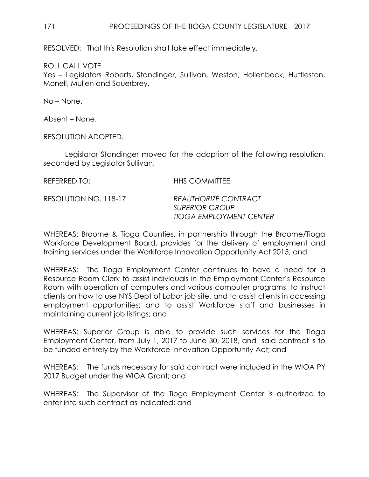# 171 PROCEEDINGS OF THE TIOGA COUNTY LEGISLATURE - 2017

RESOLVED: That this Resolution shall take effect immediately.

ROLL CALL VOTE

Yes – Legislators Roberts, Standinger, Sullivan, Weston, Hollenbeck, Huttleston, Monell, Mullen and Sauerbrey.

No – None.

Absent – None.

RESOLUTION ADOPTED.

Legislator Standinger moved for the adoption of the following resolution, seconded by Legislator Sullivan.

| REFERRED TO:          | <b>HHS COMMITTEE</b>                                                            |
|-----------------------|---------------------------------------------------------------------------------|
| RESOLUTION NO. 118-17 | REAUTHORIZE CONTRACT<br><b>SUPERIOR GROUP</b><br><b>TIOGA EMPLOYMENT CENTER</b> |

WHEREAS: Broome & Tioga Counties, in partnership through the Broome/Tioga Workforce Development Board, provides for the delivery of employment and training services under the Workforce Innovation Opportunity Act 2015; and

WHEREAS: The Tioga Employment Center continues to have a need for a Resource Room Clerk to assist individuals in the Employment Center's Resource Room with operation of computers and various computer programs, to instruct clients on how to use NYS Dept of Labor job site, and to assist clients in accessing employment opportunities; and to assist Workforce staff and businesses in maintaining current job listings; and

WHEREAS: Superior Group is able to provide such services for the Tioga Employment Center, from July 1, 2017 to June 30, 2018, and said contract is to be funded entirely by the Workforce Innovation Opportunity Act; and

WHEREAS: The funds necessary for said contract were included in the WIOA PY 2017 Budget under the WIOA Grant; and

WHEREAS: The Supervisor of the Tioga Employment Center is authorized to enter into such contract as indicated; and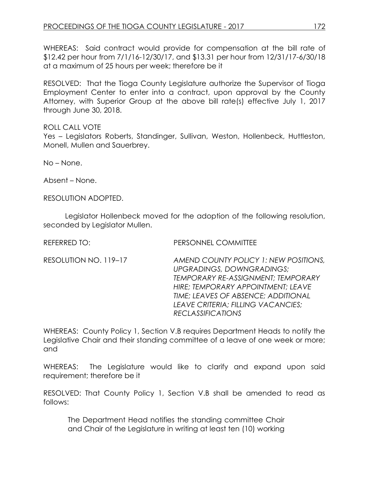WHEREAS: Said contract would provide for compensation at the bill rate of \$12.42 per hour from 7/1/16-12/30/17, and \$13.31 per hour from 12/31/17-6/30/18 at a maximum of 25 hours per week; therefore be it

RESOLVED: That the Tioga County Legislature authorize the Supervisor of Tioga Employment Center to enter into a contract, upon approval by the County Attorney, with Superior Group at the above bill rate(s) effective July 1, 2017 through June 30, 2018.

# ROLL CALL VOTE

Yes – Legislators Roberts, Standinger, Sullivan, Weston, Hollenbeck, Huttleston, Monell, Mullen and Sauerbrey.

No – None.

Absent – None.

RESOLUTION ADOPTED.

Legislator Hollenbeck moved for the adoption of the following resolution, seconded by Legislator Mullen.

| REFERRED TO: | PERSONNEL COMMITTEE |
|--------------|---------------------|
|              |                     |

RESOLUTION NO. 119–17 *AMEND COUNTY POLICY 1: NEW POSITIONS, UPGRADINGS, DOWNGRADINGS; TEMPORARY RE-ASSIGNMENT; TEMPORARY HIRE; TEMPORARY APPOINTMENT; LEAVE TIME; LEAVES OF ABSENCE; ADDITIONAL LEAVE CRITERIA; FILLING VACANCIES; RECLASSIFICATIONS*

WHEREAS: County Policy 1, Section V.B requires Department Heads to notify the Legislative Chair and their standing committee of a leave of one week or more; and

WHEREAS: The Legislature would like to clarify and expand upon said requirement; therefore be it

RESOLVED: That County Policy 1, Section V.B shall be amended to read as follows:

The Department Head notifies the standing committee Chair and Chair of the Legislature in writing at least ten (10) working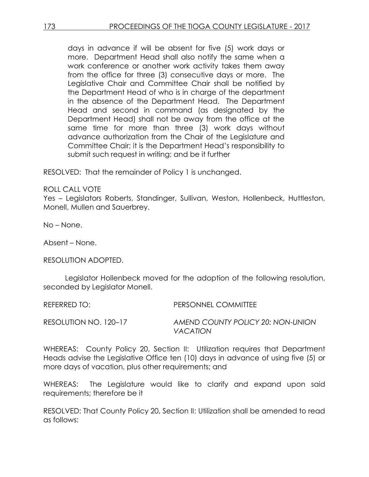days in advance if will be absent for five (5) work days or more. Department Head shall also notify the same when a work conference or another work activity takes them away from the office for three (3) consecutive days or more. The Legislative Chair and Committee Chair shall be notified by the Department Head of who is in charge of the department in the absence of the Department Head. The Department Head and second in command (as designated by the Department Head) shall not be away from the office at the same time for more than three (3) work days without advance authorization from the Chair of the Legislature and Committee Chair; it is the Department Head's responsibility to submit such request in writing; and be it further

RESOLVED: That the remainder of Policy 1 is unchanged.

# ROLL CALL VOTE

Yes – Legislators Roberts, Standinger, Sullivan, Weston, Hollenbeck, Huttleston, Monell, Mullen and Sauerbrey.

No – None.

Absent – None.

RESOLUTION ADOPTED.

Legislator Hollenbeck moved for the adoption of the following resolution, seconded by Legislator Monell.

REFERRED TO: PERSONNEL COMMITTEE RESOLUTION NO. 120–17 *AMEND COUNTY POLICY 20: NON-UNION VACATION*

WHEREAS: County Policy 20, Section II: Utilization requires that Department Heads advise the Legislative Office ten (10) days in advance of using five (5) or more days of vacation, plus other requirements; and

WHEREAS: The Legislature would like to clarify and expand upon said requirements; therefore be it

RESOLVED: That County Policy 20, Section II: Utilization shall be amended to read as follows: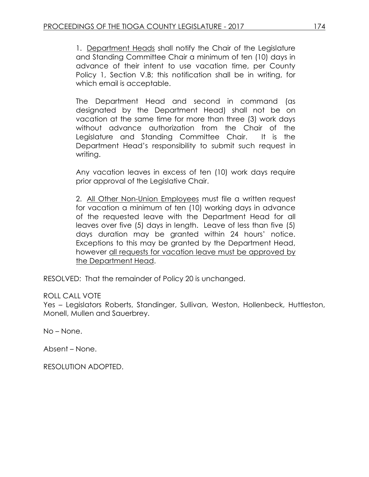1. Department Heads shall notify the Chair of the Legislature and Standing Committee Chair a minimum of ten (10) days in advance of their intent to use vacation time, per County Policy 1, Section V.B; this notification shall be in writing, for which email is acceptable.

The Department Head and second in command (as designated by the Department Head) shall not be on vacation at the same time for more than three (3) work days without advance authorization from the Chair of the Legislature and Standing Committee Chair. It is the Department Head's responsibility to submit such request in writing.

Any vacation leaves in excess of ten (10) work days require prior approval of the Legislative Chair.

2. All Other Non-Union Employees must file a written request for vacation a minimum of ten (10) working days in advance of the requested leave with the Department Head for all leaves over five (5) days in length. Leave of less than five (5) days duration may be granted within 24 hours' notice. Exceptions to this may be granted by the Department Head, however all requests for vacation leave must be approved by the Department Head.

RESOLVED: That the remainder of Policy 20 is unchanged.

### ROLL CALL VOTE

Yes – Legislators Roberts, Standinger, Sullivan, Weston, Hollenbeck, Huttleston, Monell, Mullen and Sauerbrey.

No – None.

Absent – None.

RESOLUTION ADOPTED.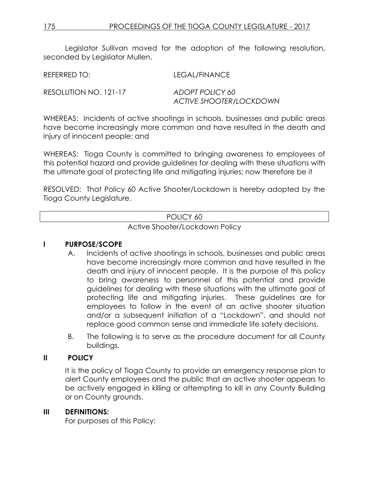Legislator Sullivan moved for the adoption of the following resolution, seconded by Leaislator Mullen.

REFERRED TO: LEGAL/FINANCE

RESOLUTION NO. 121-17 *ADOPT POLICY 60*

*ACTIVE SHOOTER/LOCKDOWN*

WHEREAS: Incidents of active shootings in schools, businesses and public areas have become increasingly more common and have resulted in the death and injury of innocent people; and

WHEREAS: Tioga County is committed to bringing awareness to employees of this potential hazard and provide guidelines for dealing with these situations with the ultimate goal of protecting life and mitigating injuries; now therefore be it

RESOLVED: That Policy 60 Active Shooter/Lockdown is hereby adopted by the Tioga County Legislature.

| POLICY 60                      |  |
|--------------------------------|--|
| Active Shooter/Lockdown Policy |  |

# **I PURPOSE**/**SCOPE**

- A. Incidents of active shootings in schools, businesses and public areas have become increasingly more common and have resulted in the death and injury of innocent people. It is the purpose of this policy to bring awareness to personnel of this potential and provide guidelines for dealing with these situations with the ultimate goal of protecting life and mitigating injuries. These guidelines are for employees to follow in the event of an active shooter situation and/or a subsequent initiation of a "Lockdown", and should not replace good common sense and immediate life safety decisions.
- B. The following is to serve as the procedure document for all County buildings.

# **II POLICY**

It is the policy of Tioga County to provide an emergency response plan to alert County employees and the public that an active shooter appears to be actively engaged in killing or attempting to kill in any County Building or on County grounds.

# **III DEFINITIONS:**

For purposes of this Policy: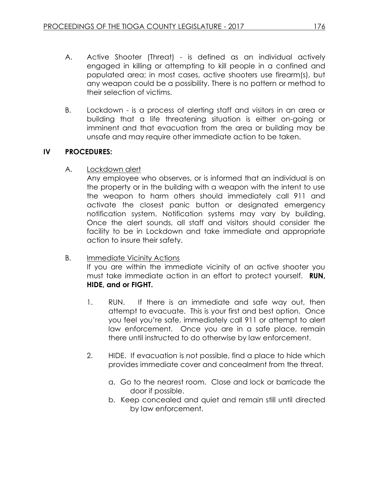- A. Active Shooter (Threat) is defined as an individual actively engaged in killing or attempting to kill people in a confined and populated area; in most cases, active shooters use firearm(s), but any weapon could be a possibility. There is no pattern or method to their selection of victims.
- B. Lockdown is a process of alerting staff and visitors in an area or building that a life threatening situation is either on-going or imminent and that evacuation from the area or building may be unsafe and may require other immediate action to be taken.

# **IV PROCEDURES:**

A. Lockdown alert

Any employee who observes, or is informed that an individual is on the property or in the building with a weapon with the intent to use the weapon to harm others should immediately call 911 and activate the closest panic button or designated emergency notification system. Notification systems may vary by building. Once the alert sounds, all staff and visitors should consider the facility to be in Lockdown and take immediate and appropriate action to insure their safety.

B. Immediate Vicinity Actions

If you are within the immediate vicinity of an active shooter you must take immediate action in an effort to protect yourself. **RUN, HIDE, and or FIGHT.**

- 1. RUN. If there is an immediate and safe way out, then attempt to evacuate. This is your first and best option. Once you feel you're safe, immediately call 911 or attempt to alert law enforcement. Once you are in a safe place, remain there until instructed to do otherwise by law enforcement.
- 2. HIDE. If evacuation is not possible, find a place to hide which provides immediate cover and concealment from the threat.
	- a. Go to the nearest room. Close and lock or barricade the door if possible.
	- b. Keep concealed and quiet and remain still until directed by law enforcement.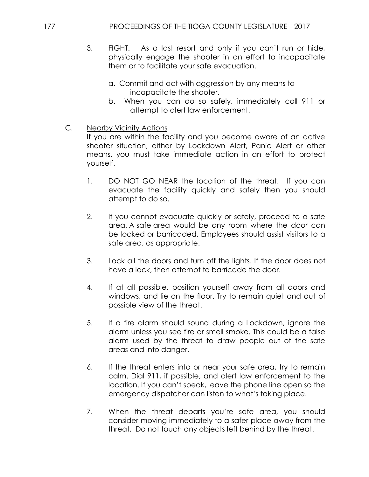- 3. FIGHT. As a last resort and only if you can't run or hide, physically engage the shooter in an effort to incapacitate them or to facilitate your safe evacuation.
	- a. Commit and act with aggression by any means to incapacitate the shooter.
	- b. When you can do so safely, immediately call 911 or attempt to alert law enforcement.
- C. Nearby Vicinity Actions

If you are within the facility and you become aware of an active shooter situation, either by Lockdown Alert, Panic Alert or other means, you must take immediate action in an effort to protect yourself.

- 1. DO NOT GO NEAR the location of the threat. If you can evacuate the facility quickly and safely then you should attempt to do so.
- 2. If you cannot evacuate quickly or safely, proceed to a safe area. A safe area would be any room where the door can be locked or barricaded. Employees should assist visitors to a safe area, as appropriate.
- 3. Lock all the doors and turn off the lights. If the door does not have a lock, then attempt to barricade the door.
- 4. If at all possible, position yourself away from all doors and windows, and lie on the floor. Try to remain quiet and out of possible view of the threat.
- 5. If a fire alarm should sound during a Lockdown, ignore the alarm unless you see fire or smell smoke. This could be a false alarm used by the threat to draw people out of the safe areas and into danger.
- 6. If the threat enters into or near your safe area, try to remain calm. Dial 911, if possible, and alert law enforcement to the location. If you can't speak, leave the phone line open so the emergency dispatcher can listen to what's taking place.
- 7. When the threat departs you're safe area, you should consider moving immediately to a safer place away from the threat. Do not touch any objects left behind by the threat.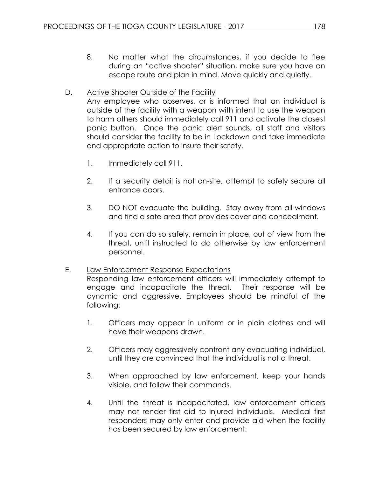8. No matter what the circumstances, if you decide to flee during an "active shooter" situation, make sure you have an escape route and plan in mind. Move quickly and quietly.

# D. Active Shooter Outside of the Facility

Any employee who observes, or is informed that an individual is outside of the facility with a weapon with intent to use the weapon to harm others should immediately call 911 and activate the closest panic button. Once the panic alert sounds, all staff and visitors should consider the facility to be in Lockdown and take immediate and appropriate action to insure their safety.

- 1. Immediately call 911.
- 2. If a security detail is not on-site, attempt to safely secure all entrance doors.
- 3. DO NOT evacuate the building. Stay away from all windows and find a safe area that provides cover and concealment.
- 4. If you can do so safely, remain in place, out of view from the threat, until instructed to do otherwise by law enforcement personnel.

# E. Law Enforcement Response Expectations

Responding law enforcement officers will immediately attempt to engage and incapacitate the threat. Their response will be dynamic and aggressive. Employees should be mindful of the following:

- 1. Officers may appear in uniform or in plain clothes and will have their weapons drawn.
- 2. Officers may aggressively confront any evacuating individual, until they are convinced that the individual is not a threat.
- 3. When approached by law enforcement, keep your hands visible, and follow their commands.
- 4. Until the threat is incapacitated, law enforcement officers may not render first aid to injured individuals. Medical first responders may only enter and provide aid when the facility has been secured by law enforcement.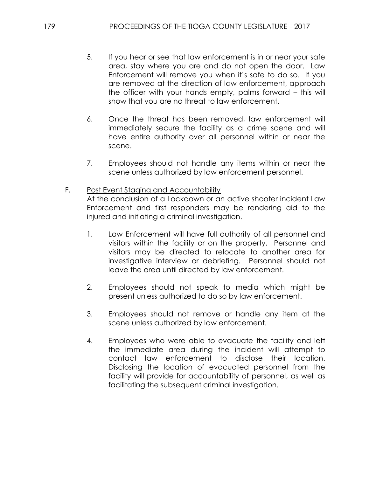- 5. If you hear or see that law enforcement is in or near your safe area, stay where you are and do not open the door. Law Enforcement will remove you when it's safe to do so. If you are removed at the direction of law enforcement, approach the officer with your hands empty, palms forward – this will show that you are no threat to law enforcement.
- 6. Once the threat has been removed, law enforcement will immediately secure the facility as a crime scene and will have entire authority over all personnel within or near the scene.
- 7. Employees should not handle any items within or near the scene unless authorized by law enforcement personnel.
- F. Post Event Staging and Accountability At the conclusion of a Lockdown or an active shooter incident Law Enforcement and first responders may be rendering aid to the injured and initiating a criminal investigation.
	- 1. Law Enforcement will have full authority of all personnel and visitors within the facility or on the property. Personnel and visitors may be directed to relocate to another area for investigative interview or debriefing. Personnel should not leave the area until directed by law enforcement.
	- 2. Employees should not speak to media which might be present unless authorized to do so by law enforcement.
	- 3. Employees should not remove or handle any item at the scene unless authorized by law enforcement.
	- 4. Employees who were able to evacuate the facility and left the immediate area during the incident will attempt to contact law enforcement to disclose their location. Disclosing the location of evacuated personnel from the facility will provide for accountability of personnel, as well as facilitating the subsequent criminal investigation.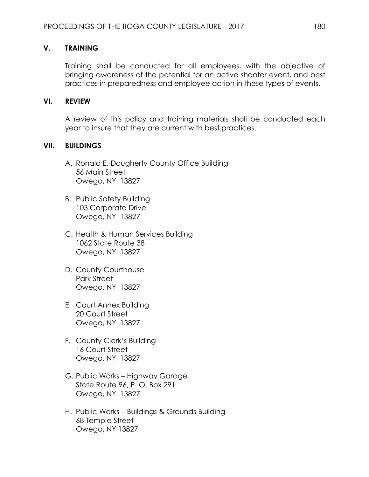# **V. TRAINING**

Training shall be conducted for all employees, with the objective of bringing awareness of the potential for an active shooter event, and best practices in preparedness and employee action in these types of events.

### **VI. REVIEW**

A review of this policy and training materials shall be conducted each year to insure that they are current with best practices.

### **VII. BUILDINGS**

- A. Ronald E. Dougherty County Office Building 56 Main Street Owego, NY 13827
- B. Public Safety Building 103 Corporate Drive Owego, NY 13827
- C. Health & Human Services Building 1062 State Route 38 Owego, NY 13827
- D. County Courthouse Park Street Owego, NY 13827
- E. Court Annex Building 20 Court Street Owego, NY 13827
- F. County Clerk's Building 16 Court Street Owego, NY 13827
- G. Public Works Highway Garage State Route 96, P. O. Box 291 Owego, NY 13827
- H. Public Works Buildings & Grounds Building 68 Temple Street Owego, NY 13827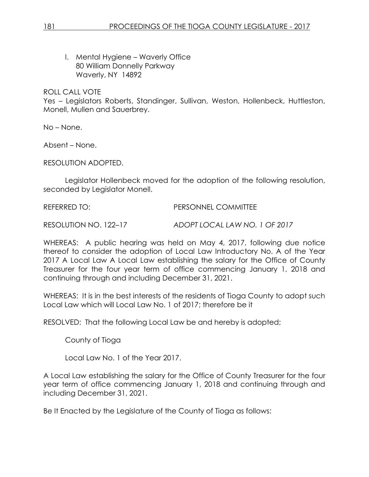I. Mental Hygiene – Waverly Office 80 William Donnelly Parkway Waverly, NY 14892

### ROLL CALL VOTE

Yes – Legislators Roberts, Standinger, Sullivan, Weston, Hollenbeck, Huttleston, Monell, Mullen and Sauerbrey.

No – None.

Absent – None.

RESOLUTION ADOPTED.

Legislator Hollenbeck moved for the adoption of the following resolution, seconded by Legislator Monell.

REFERRED TO: PERSONNEL COMMITTEE

RESOLUTION NO. 122–17 *ADOPT LOCAL LAW NO. 1 OF 2017*

WHEREAS: A public hearing was held on May 4, 2017, following due notice thereof to consider the adoption of Local Law Introductory No. A of the Year 2017 A Local Law A Local Law establishing the salary for the Office of County Treasurer for the four year term of office commencing January 1, 2018 and continuing through and including December 31, 2021.

WHEREAS: It is in the best interests of the residents of Tioga County to adopt such Local Law which will Local Law No. 1 of 2017; therefore be it

RESOLVED: That the following Local Law be and hereby is adopted;

County of Tioga

Local Law No. 1 of the Year 2017.

A Local Law establishing the salary for the Office of County Treasurer for the four year term of office commencing January 1, 2018 and continuing through and including December 31, 2021.

Be It Enacted by the Legislature of the County of Tioga as follows: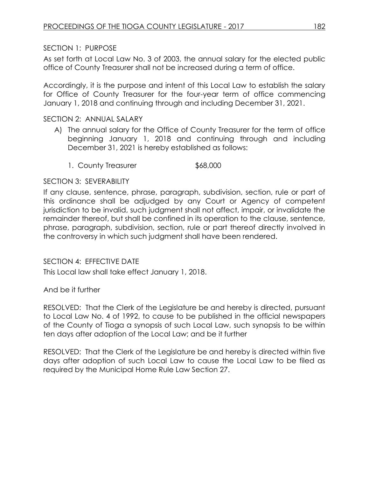# SECTION 1: PURPOSE

As set forth at Local Law No. 3 of 2003, the annual salary for the elected public office of County Treasurer shall not be increased during a term of office.

Accordingly, it is the purpose and intent of this Local Law to establish the salary for Office of County Treasurer for the four-year term of office commencing January 1, 2018 and continuing through and including December 31, 2021.

# SECTION 2: ANNUAL SALARY

- A) The annual salary for the Office of County Treasurer for the term of office beginning January 1, 2018 and continuing through and including December 31, 2021 is hereby established as follows:
	- 1. County Treasurer \$68,000

# SECTION 3: SEVERABILITY

If any clause, sentence, phrase, paragraph, subdivision, section, rule or part of this ordinance shall be adjudged by any Court or Agency of competent jurisdiction to be invalid, such judgment shall not affect, impair, or invalidate the remainder thereof, but shall be confined in its operation to the clause, sentence, phrase, paragraph, subdivision, section, rule or part thereof directly involved in the controversy in which such judgment shall have been rendered.

# SECTION 4: EFFECTIVE DATE

This Local law shall take effect January 1, 2018.

# And be it further

RESOLVED: That the Clerk of the Legislature be and hereby is directed, pursuant to Local Law No. 4 of 1992, to cause to be published in the official newspapers of the County of Tioga a synopsis of such Local Law, such synopsis to be within ten days after adoption of the Local Law; and be it further

RESOLVED: That the Clerk of the Legislature be and hereby is directed within five days after adoption of such Local Law to cause the Local Law to be filed as required by the Municipal Home Rule Law Section 27.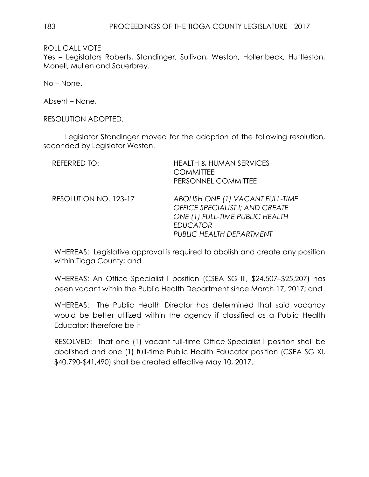ROLL CALL VOTE

Yes – Legislators Roberts, Standinger, Sullivan, Weston, Hollenbeck, Huttleston, Monell, Mullen and Sauerbrey.

No – None.

Absent – None.

RESOLUTION ADOPTED.

Legislator Standinger moved for the adoption of the following resolution, seconded by Legislator Weston.

| <b>REFERRED TO:</b>   | <b>HEALTH &amp; HUMAN SERVICES</b><br><b>COMMITTEE</b><br>PERSONNEL COMMITTEE                                                                         |
|-----------------------|-------------------------------------------------------------------------------------------------------------------------------------------------------|
| RESOLUTION NO. 123-17 | ABOLISH ONE (1) VACANT FULL-TIME<br>OFFICE SPECIALIST I; AND CREATE<br>ONE (1) FULL-TIME PUBLIC HEALTH<br><b>EDUCATOR</b><br>PUBLIC HEALTH DEPARTMENT |

WHEREAS: Legislative approval is required to abolish and create any position within Tioga County; and

WHEREAS: An Office Specialist I position (CSEA SG III, \$24,507–\$25,207) has been vacant within the Public Health Department since March 17, 2017; and

WHEREAS: The Public Health Director has determined that said vacancy would be better utilized within the agency if classified as a Public Health Educator; therefore be it

RESOLVED: That one (1) vacant full-time Office Specialist I position shall be abolished and one (1) full-time Public Health Educator position (CSEA SG XI, \$40,790-\$41,490) shall be created effective May 10, 2017.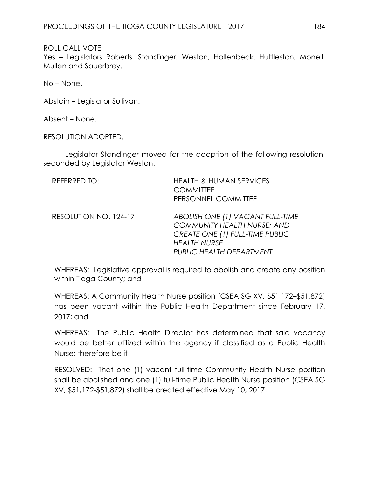# ROLL CALL VOTE

Yes – Legislators Roberts, Standinger, Weston, Hollenbeck, Huttleston, Monell, Mullen and Sauerbrey.

No – None.

Abstain – Legislator Sullivan.

Absent – None.

RESOLUTION ADOPTED.

Legislator Standinger moved for the adoption of the following resolution, seconded by Legislator Weston.

| REFERRED TO:          | <b>HEALTH &amp; HUMAN SERVICES</b><br><b>COMMITTEE</b><br>PERSONNEL COMMITTEE                                                                                |
|-----------------------|--------------------------------------------------------------------------------------------------------------------------------------------------------------|
| RESOLUTION NO. 124-17 | ABOLISH ONE (1) VACANT FULL-TIME<br><b>COMMUNITY HEALTH NURSE; AND</b><br>CREATE ONE (1) FULL-TIME PUBLIC<br><b>HEALTH NURSE</b><br>PUBLIC HEALTH DEPARTMENT |

WHEREAS: Legislative approval is required to abolish and create any position within Tioga County; and

WHEREAS: A Community Health Nurse position (CSEA SG XV, \$51,172–\$51,872) has been vacant within the Public Health Department since February 17, 2017; and

WHEREAS: The Public Health Director has determined that said vacancy would be better utilized within the agency if classified as a Public Health Nurse; therefore be it

RESOLVED: That one (1) vacant full-time Community Health Nurse position shall be abolished and one (1) full-time Public Health Nurse position (CSEA SG XV, \$51,172-\$51,872) shall be created effective May 10, 2017.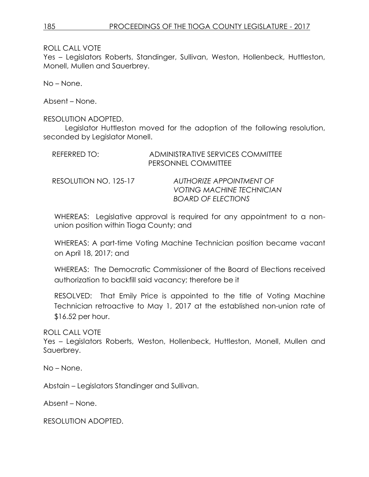ROLL CALL VOTE

Yes – Legislators Roberts, Standinger, Sullivan, Weston, Hollenbeck, Huttleston, Monell, Mullen and Sauerbrey.

No – None.

Absent – None.

### RESOLUTION ADOPTED.

Legislator Huttleston moved for the adoption of the following resolution, seconded by Legislator Monell.

| REFERRED TO:          | ADMINISTRATIVE SERVICES COMMITTEE<br>PERSONNEL COMMITTEE |
|-----------------------|----------------------------------------------------------|
| RESOLUTION NO. 125-17 | AUTHORIZE APPOINTMENT OF                                 |
|                       | <b>VOTING MACHINE TECHNICIAN</b>                         |
|                       | <b>BOARD OF ELECTIONS</b>                                |

WHEREAS: Legislative approval is required for any appointment to a nonunion position within Tioga County; and

WHEREAS: A part-time Voting Machine Technician position became vacant on April 18, 2017; and

WHEREAS: The Democratic Commissioner of the Board of Elections received authorization to backfill said vacancy; therefore be it

RESOLVED: That Emily Price is appointed to the title of Voting Machine Technician retroactive to May 1, 2017 at the established non-union rate of \$16.52 per hour.

ROLL CALL VOTE

Yes – Legislators Roberts, Weston, Hollenbeck, Huttleston, Monell, Mullen and Sauerbrey.

No – None.

Abstain – Legislators Standinger and Sullivan.

Absent – None.

RESOLUTION ADOPTED.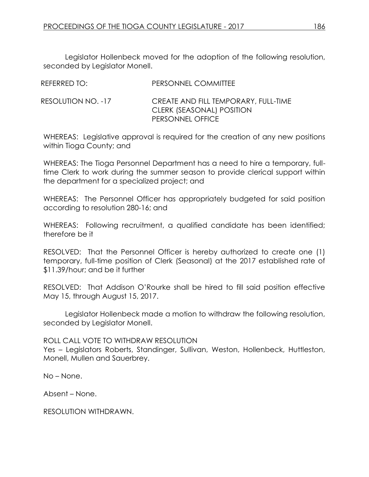Legislator Hollenbeck moved for the adoption of the following resolution, seconded by Legislator Monell.

| REFERRED TO:       | PERSONNEL COMMITTEE                                                                   |
|--------------------|---------------------------------------------------------------------------------------|
| RESOLUTION NO. -17 | CREATE AND FILL TEMPORARY, FULL-TIME<br>CLERK (SEASONAL) POSITION<br>PERSONNEL OFFICE |

WHEREAS: Legislative approval is required for the creation of any new positions within Tioga County; and

WHEREAS: The Tioga Personnel Department has a need to hire a temporary, fulltime Clerk to work during the summer season to provide clerical support within the department for a specialized project; and

WHEREAS: The Personnel Officer has appropriately budgeted for said position according to resolution 280-16; and

WHEREAS: Following recruitment, a qualified candidate has been identified; therefore be it

RESOLVED: That the Personnel Officer is hereby authorized to create one (1) temporary, full-time position of Clerk (Seasonal) at the 2017 established rate of \$11.39/hour; and be it further

RESOLVED: That Addison O'Rourke shall be hired to fill said position effective May 15, through August 15, 2017.

Legislator Hollenbeck made a motion to withdraw the following resolution, seconded by Legislator Monell.

ROLL CALL VOTE TO WITHDRAW RESOLUTION

Yes – Legislators Roberts, Standinger, Sullivan, Weston, Hollenbeck, Huttleston, Monell, Mullen and Sauerbrey.

No – None.

Absent – None.

RESOLUTION WITHDRAWN.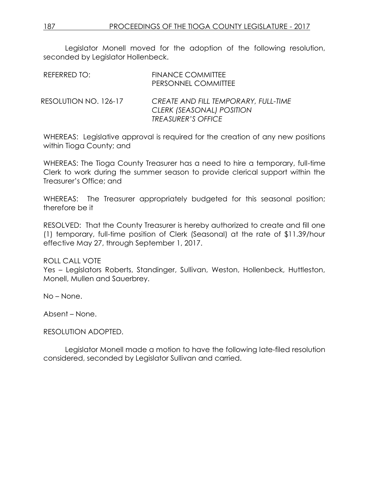Legislator Monell moved for the adoption of the following resolution, seconded by Legislator Hollenbeck.

| REFERRED TO:          | <b>FINANCE COMMITTEE</b><br>PERSONNEL COMMITTEE                                                |
|-----------------------|------------------------------------------------------------------------------------------------|
| RESOLUTION NO. 126-17 | CREATE AND FILL TEMPORARY, FULL-TIME<br>CLERK (SEASONAL) POSITION<br><b>TREASURER'S OFFICE</b> |

WHEREAS: Legislative approval is required for the creation of any new positions within Tioga County; and

WHEREAS: The Tioga County Treasurer has a need to hire a temporary, full-time Clerk to work during the summer season to provide clerical support within the Treasurer's Office; and

WHEREAS: The Treasurer appropriately budgeted for this seasonal position; therefore be it

RESOLVED: That the County Treasurer is hereby authorized to create and fill one (1) temporary, full-time position of Clerk (Seasonal) at the rate of \$11.39/hour effective May 27, through September 1, 2017.

### ROLL CALL VOTE

Yes – Legislators Roberts, Standinger, Sullivan, Weston, Hollenbeck, Huttleston, Monell, Mullen and Sauerbrey.

No – None.

Absent – None.

### RESOLUTION ADOPTED.

Legislator Monell made a motion to have the following late-filed resolution considered, seconded by Legislator Sullivan and carried.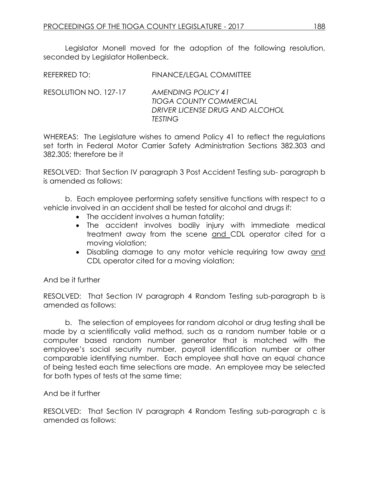Legislator Monell moved for the adoption of the following resolution, seconded by Legislator Hollenbeck.

| REFERRED TO:          | FINANCE/LEGAL COMMITTEE                                                          |
|-----------------------|----------------------------------------------------------------------------------|
| RESOLUTION NO. 127-17 | AMENDING POLICY 41<br>TIOGA COUNTY COMMERCIAL<br>DRIVER LICENSE DRUG AND ALCOHOL |

*TESTING*

WHEREAS: The Legislature wishes to amend Policy 41 to reflect the regulations set forth in Federal Motor Carrier Safety Administration Sections 382.303 and 382.305; therefore be it

RESOLVED: That Section IV paragraph 3 Post Accident Testing sub- paragraph b is amended as follows:

b. Each employee performing safety sensitive functions with respect to a vehicle involved in an accident shall be tested for alcohol and drugs if:

- The accident involves a human fatality;
- The accident involves bodily injury with immediate medical treatment away from the scene and CDL operator cited for a moving violation;
- Disabling damage to any motor vehicle requiring tow away and CDL operator cited for a moving violation;

And be it further

RESOLVED: That Section IV paragraph 4 Random Testing sub-paragraph b is amended as follows:

b. The selection of employees for random alcohol or drug testing shall be made by a scientifically valid method, such as a random number table or a computer based random number generator that is matched with the employee's social security number, payroll identification number or other comparable identifying number. Each employee shall have an equal chance of being tested each time selections are made. An employee may be selected for both types of tests at the same time;

And be it further

RESOLVED: That Section IV paragraph 4 Random Testing sub-paragraph c is amended as follows: